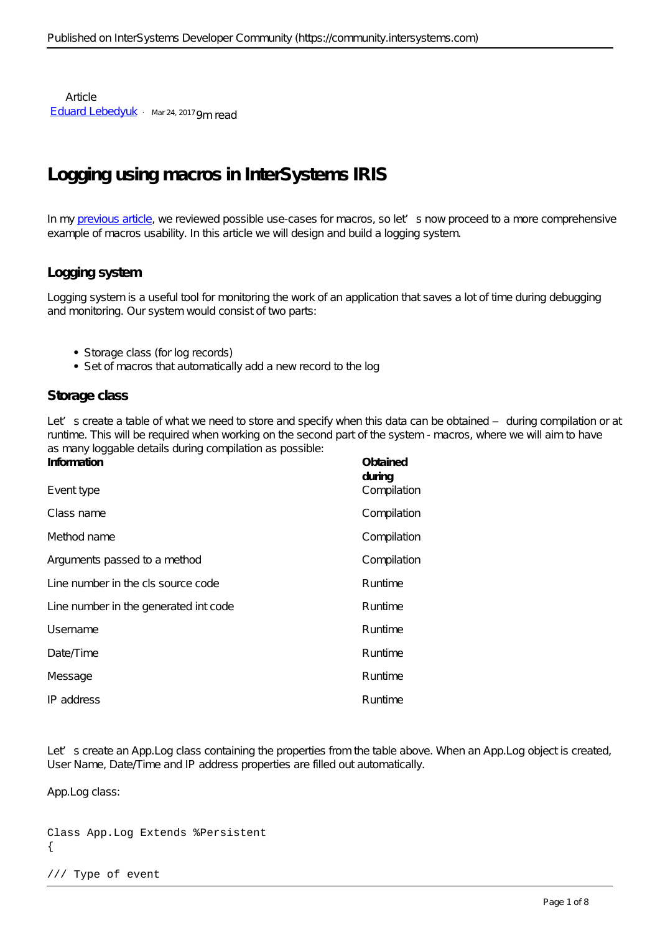Article [Eduard Lebedyuk](https://community.intersystems.com/user/eduard-lebedyuk) · Mar 24, 2017 9m read

# **Logging using macros in InterSystems IRIS**

In my [previous article,](https://community.intersystems.com/post/macros-intersystems-cach%C3%A9) we reviewed possible use-cases for macros, so let's now proceed to a more comprehensive example of macros usability. In this article we will design and build a logging system.

# **Logging system**

Logging system is a useful tool for monitoring the work of an application that saves a lot of time during debugging and monitoring. Our system would consist of two parts:

- Storage class (for log records)
- Set of macros that automatically add a new record to the log

# **Storage class**

Let's create a table of what we need to store and specify when this data can be obtained – during compilation or at runtime. This will be required when working on the second part of the system - macros, where we will aim to have as many loggable details during compilation as possible:

| Information<br>Event type            | Obtained<br>during<br>Compilation |
|--------------------------------------|-----------------------------------|
| Class name                           | Compilation                       |
| Method name                          | Compilation                       |
| Arguments passed to a method         | Compilation                       |
| Line number in the cls source code   | Runtime                           |
| Line number in the generated intcode | Runtime                           |
| Username                             | Runtime                           |
| $D$ a te $\pi$ ime                   | Runtime                           |
| Message                              | Runtime                           |
| IP address                           | Runtime                           |

Let's create an App. Log class containing the properties from the table above. When an App. Log object is created, User Name, Date/Time and IP address properties are filled out automatically.

App.Log class:

```
Class App.Log Extends %Persistent
{
```
#### /// Type of event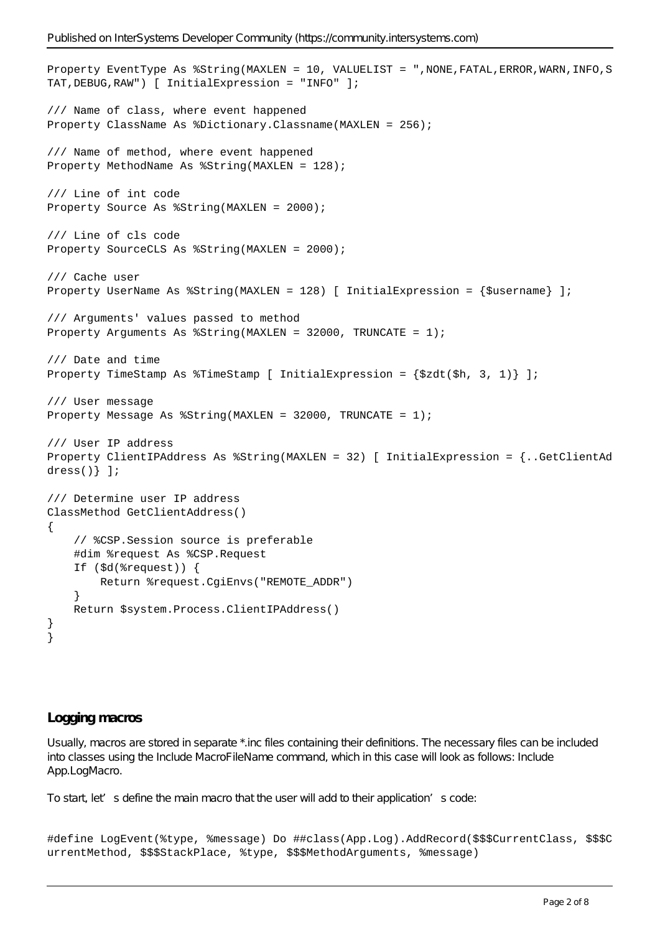Published on InterSystems Developer Community (https://community.intersystems.com)

```
Property EventType As %String(MAXLEN = 10, VALUELIST = ",NONE, FATAL, ERROR, WARN, INFO, S
TAT,DEBUG,RAW") [ InitialExpression = "INFO" ];
/// Name of class, where event happened
Property ClassName As %Dictionary. Classname (MAXLEN = 256);
/// Name of method, where event happened
Property MethodName As %String(MAXLEN = 128);
/// Line of int code
Property Source As %String(MAXLEN = 2000);
/// Line of cls code
Property SourceCLS As %String(MAXLEN = 2000);
/// Cache user
Property UserName As %String(MAXLEN = 128) [ InitialExpression = {$username} ];
/// Arguments' values passed to method
Property Arguments As %String(MAXLEN = 32000, TRUNCATE = 1);
/// Date and time
Property TimeStamp As \{TimeStamp [ InitialExpression = \{Szdt(Sh, 3, 1)\} ];
/// User message
Property Message As %String(MAXLEN = 32000, TRUNCATE = 1);
/// User IP address
Property ClientIPAddress As %String(MAXLEN = 32) [ InitialExpression = {..GetClientAd
dress()} ];
/// Determine user IP address
ClassMethod GetClientAddress()
{
     // %CSP.Session source is preferable
     #dim %request As %CSP.Request
     If ($d(%request)) {
         Return %request.CgiEnvs("REMOTE_ADDR")
     }
     Return $system.Process.ClientIPAddress()
}
}
```
### **Logging macros**

Usually, macros are stored in separate \*.inc files containing their definitions. The necessary files can be included into classes using the Include MacroFileName command, which in this case will look as follows: Include App.LogMacro.

To start, let's define the main macro that the user will add to their application's code:

```
#define LogEvent(%type, %message) Do ##class(App.Log).AddRecord($$$CurrentClass, $$$C
urrentMethod, $$$StackPlace, %type, $$$MethodArguments, %message)
```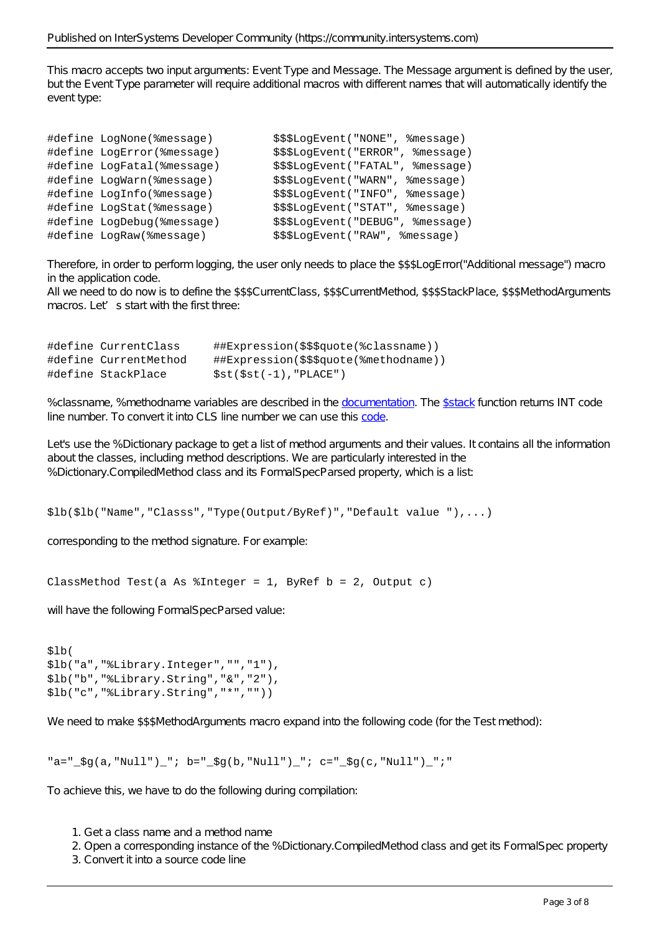This macro accepts two input arguments: Event Type and Message. The Message argument is defined by the user, but the Event Type parameter will require additional macros with different names that will automatically identify the event type:

```
#define LogNone(%message) $$$LogEvent("NONE", %message)
#define LogError(%message) $$$LogEvent("ERROR", %message)
#define LogFatal(%message) $$$LogEvent("FATAL", %message)
#define LogWarn(%message) $$$LogEvent("WARN", %message)
#define LogInfo(%message)  $$$LogEvent("INFO", %message)
#define LogStat(%message) $$$LogEvent("STAT", %message)
#define LogDebug(%message) $$$LogEvent("DEBUG", %message)
#define LogRaw(%message) $$$LogEvent("RAW", %message)
```
Therefore, in order to perform logging, the user only needs to place the \$\$\$LogError("Additional message") macro in the application code.

All we need to do now is to define the \$\$\$CurrentClass, \$\$\$CurrentMethod, \$\$\$StackPlace, \$\$\$MethodArguments macros. Let's start with the first three:

| #define CurrentClass  | ##Expression(\$\$\$quote(%classname))     |
|-----------------------|-------------------------------------------|
| #define CurrentMethod | ##Expression(\$\$\$quote(%methodname))    |
| #define StackPlace    | $\texttt{Sst}(\texttt{Sst}(-1)$ ,"PLACE") |

%classname, %methodname variables are described in the [documentation.](http://docs.intersystems.com/latest/csp/docbook/DocBook.UI.Page.cls?KEY=GCOS_macros) The [\\$stack](http://docs.intersystems.com/latest/csp/docbook/DocBook.UI.Page.cls?KEY=RCOS_fstack) function returns INT code line number. To convert it into CLS line number we can use this [code.](https://community.intersystems.com/post/cls-location-int-code?page=16#comment-88716)

Let's use the %Dictionary package to get a list of method arguments and their values. It contains all the information about the classes, including method descriptions. We are particularly interested in the %Dictionary.CompiledMethod class and its FormalSpecParsed property, which is a list:

#### \$lb(\$lb("Name","Classs","Type(Output/ByRef)","Default value "),...)

corresponding to the method signature. For example:

#### ClassMethod Test(a As %Integer = 1, ByRef b = 2, Output c)

will have the following FormalSpecParsed value:

```
$lb(
$lb("a","%Library.Integer","","1"),
$lb("b","%Library.String","&","2"),
$lb("c","%Library.String","*",""))
```
We need to make \$\$\$MethodArguments macro expand into the following code (for the Test method):

```
"a=" \sqrt[3]{g(a, "Null"')} "; b=" \sqrt[5]{g(b, "Null"')} "; c=" \sqrt[5]{g(c, "Null"')} ";"
```
To achieve this, we have to do the following during compilation:

- 1. Get a class name and a method name
- 2. Open a corresponding instance of the %Dictionary.CompiledMethod class and get its FormalSpec property
- 3. Convert it into a source code line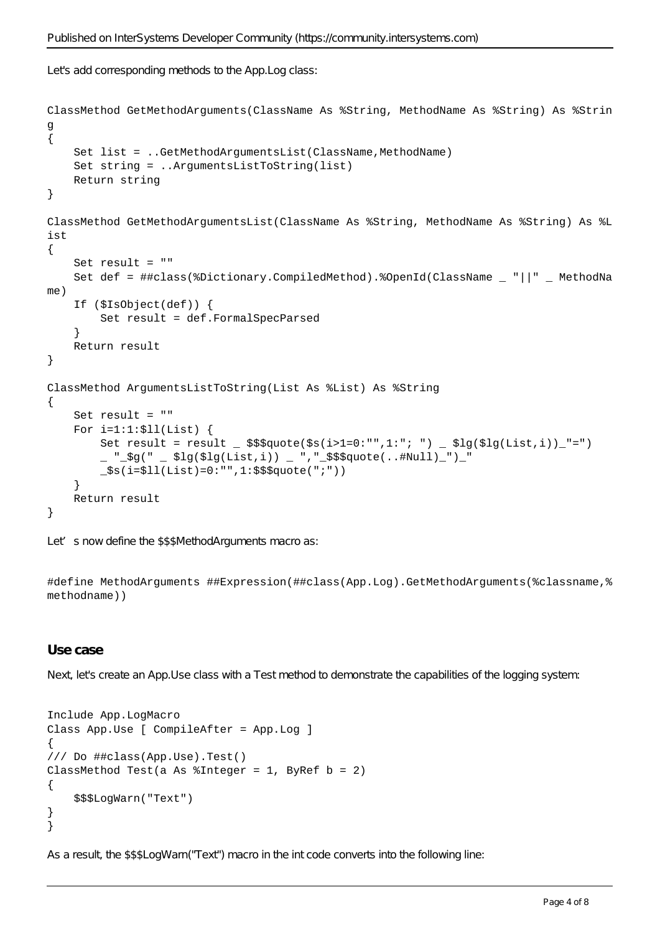Let's add corresponding methods to the App.Log class:

```
ClassMethod GetMethodArguments(ClassName As %String, MethodName As %String) As %Strin
g
{
    Set list = ..GetMethodArgumentsList(ClassName,MethodName)
     Set string = ..ArgumentsListToString(list)
     Return string
}
ClassMethod GetMethodArgumentsList(ClassName As %String, MethodName As %String) As %L
ist
{
     Set result = ""
     Set def = ##class(%Dictionary.CompiledMethod).%OpenId(ClassName _ "||" _ MethodNa
me)
     If ($IsObject(def)) {
         Set result = def.FormalSpecParsed
     }
     Return result
}
ClassMethod ArgumentsListToString(List As %List) As %String
{
     Set result = ""
    For i=1:1:511(List) {
        Set result = result _ $$$quote($s(i>1=0:"",1:"; ") _ $lg($lg(List,i))_"=")
          _ "_$g(" _ $lg($lg(List,i)) _ ","_$$$quote(..#Null)_")_"
         _$s(i=$ll(List)=0:"",1:$$$quote(";"))
     }
     Return result
}
```
Let's now define the \$\$\$MethodArguments macro as:

#define MethodArguments ##Expression(##class(App.Log).GetMethodArguments(%classname,% methodname))

#### **Use case**

Next, let's create an App.Use class with a Test method to demonstrate the capabilities of the logging system:

```
Include App.LogMacro
Class App.Use [ CompileAfter = App.Log ]
{
/// Do ##class(App.Use).Test()
ClassMethod Test(a As $Integer = 1, ByRef b = 2)\{ $$$LogWarn("Text")
}
}
```
As a result, the \$\$\$LogWarn("Text") macro in the int code converts into the following line: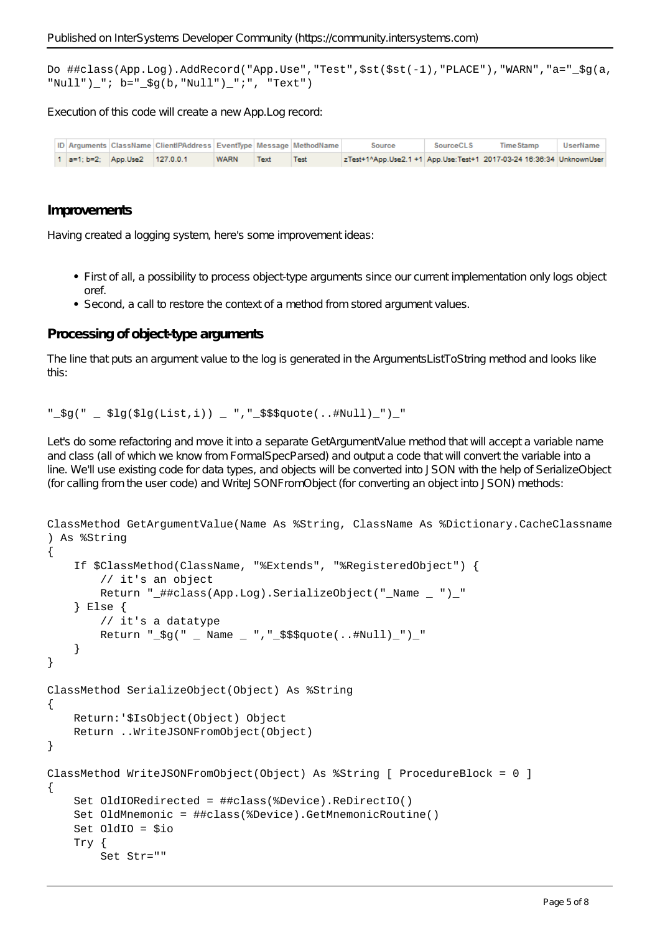Do ##class(App.Log).AddRecord("App.Use","Test",\$st(\$st(-1),"PLACE"),"WARN","a="\_\$g(a, "Null") ";  $b=$ "  $\text{Sq}(b, "Null]$ ") ";", "Text")

Execution of this code will create a new App.Log record:

|  |                                | ID Arguments ClassName ClientIPAddress EventType Message MethodName |             |      |      | Source                                                               | SourceCLS | Time Stamp | <b>UserName</b> |
|--|--------------------------------|---------------------------------------------------------------------|-------------|------|------|----------------------------------------------------------------------|-----------|------------|-----------------|
|  | 1 a=1; b=2; App.Use2 127.0.0.1 |                                                                     | <b>WARN</b> | Text | Test | zTest+1^App.Use2.1 +1 App.Use:Test+1 2017-03-24 16:36:34 UnknownUser |           |            |                 |

#### **Improvements**

Having created a logging system, here's some improvement ideas:

- First of all, a possibility to process object-type arguments since our current implementation only logs object oref.
- Second, a call to restore the context of a method from stored argument values.

#### **Processing of object-type arguments**

The line that puts an argument value to the log is generated in the ArgumentsListToString method and looks like this:

#### $"$  $\frac{1}{2}$  $\frac{1}{2}$  $\frac{1}{2}$  $\frac{1}{2}$  $\frac{1}{2}$  $\frac{1}{2}$  $\frac{1}{2}$  $\frac{1}{2}$  $\frac{1}{2}$  $\frac{1}{2}$  $\frac{1}{2}$  $\frac{1}{2}$  $\frac{1}{2}$  $\frac{1}{2}$  $\frac{1}{2}$  $\frac{1}{2}$  $\frac{1}{2}$  $\frac{1}{2}$  $\frac{1}{2}$  $\frac{1}{2}$  $\frac{1}{2}$  $\frac{1}{2}$  $\frac{1}{2}$  $\frac{1}{2}$  $\$

Let's do some refactoring and move it into a separate GetArgumentValue method that will accept a variable name and class (all of which we know from FormalSpecParsed) and output a code that will convert the variable into a line. We'll use existing code for data types, and objects will be converted into JSON with the help of SerializeObject (for calling from the user code) and WriteJSONFromObject (for converting an object into JSON) methods:

```
ClassMethod GetArgumentValue(Name As %String, ClassName As %Dictionary.CacheClassname
) As %String
{
     If $ClassMethod(ClassName, "%Extends", "%RegisteredObject") {
         // it's an object
        Return " ##class(App.Log).SerializeObject(" Name ") "
     } Else {
         // it's a datatype
         Return "_$g(" _ Name _ ","_$$$quote(..#Null)_")_"
     }
}
ClassMethod SerializeObject(Object) As %String
{
     Return:'$IsObject(Object) Object
     Return ..WriteJSONFromObject(Object)
}
ClassMethod WriteJSONFromObject(Object) As %String [ ProcedureBlock = 0 ]
{
     Set OldIORedirected = ##class(%Device).ReDirectIO()
     Set OldMnemonic = ##class(%Device).GetMnemonicRoutine()
     Set OldIO = $io
     Try {
         Set Str=""
```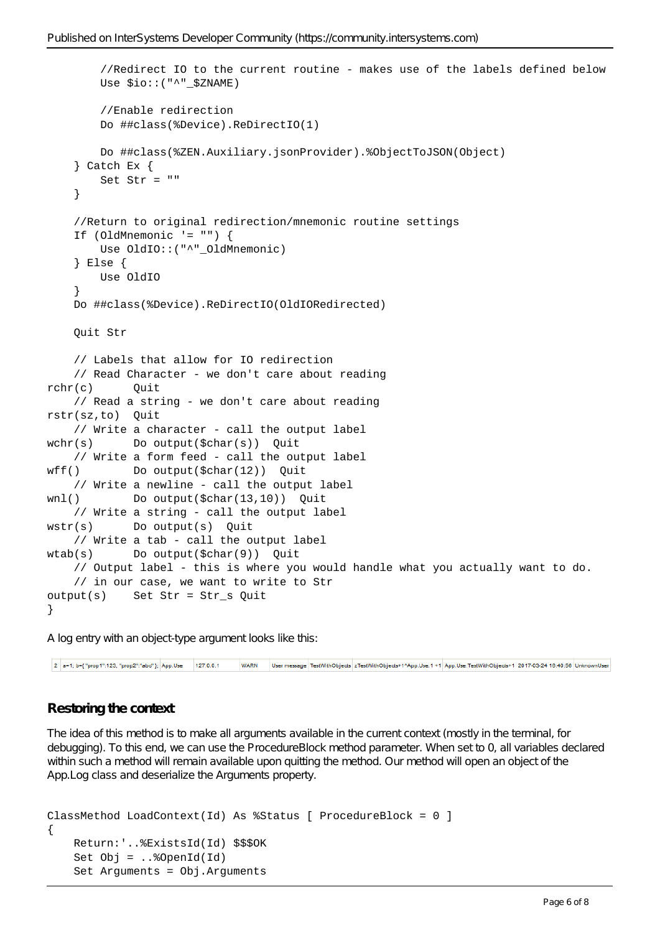```
 //Redirect IO to the current routine - makes use of the labels defined below
        Use $io::("^" $ZNAME)
         //Enable redirection
         Do ##class(%Device).ReDirectIO(1)
         Do ##class(%ZEN.Auxiliary.jsonProvider).%ObjectToJSON(Object)
     } Catch Ex {
         Set Str = ""
     }
     //Return to original redirection/mnemonic routine settings
     If (OldMnemonic '= "") {
        Use OldIO:: ("^" OldMnemonic)
     } Else {
         Use OldIO
     }
     Do ##class(%Device).ReDirectIO(OldIORedirected)
     Quit Str
     // Labels that allow for IO redirection
     // Read Character - we don't care about reading
rchr(c) Ouit
     // Read a string - we don't care about reading
rstr(sz,to) Quit
     // Write a character - call the output label
wchr(s) Do output($char(s)) Quit
     // Write a form feed - call the output label
wff() Do output($char(12)) Quit
     // Write a newline - call the output label
wnl() Do output($char(13,10)) Quit
     // Write a string - call the output label
wstr(s) Do output(s) Quit
     // Write a tab - call the output label
wtab(s) Do output($char(9)) Quit
     // Output label - this is where you would handle what you actually want to do.
     // in our case, we want to write to Str
output(s) Set Str = Str_s Quit
}
```
A log entry with an object-type argument looks like this:

2 a=1; b={ "prop1":123, "prop2":"abd" }; App.Use 127.0.0.1 WARN User message TestWithObjects zTestWithObjects+1^App.Use.1+1 App.Use:TestWithObjects+1 2017-03-24 16:40:56 UnknownUser

# **Restoring the context**

The idea of this method is to make all arguments available in the current context (mostly in the terminal, for debugging). To this end, we can use the ProcedureBlock method parameter. When set to 0, all variables declared within such a method will remain available upon quitting the method. Our method will open an object of the App.Log class and deserialize the Arguments property.

```
ClassMethod LoadContext(Id) As %Status [ ProcedureBlock = 0 ]
{
     Return:'..%ExistsId(Id) $$$OK
    Set Obj = . . %OpenId(Id)
     Set Arguments = Obj.Arguments
```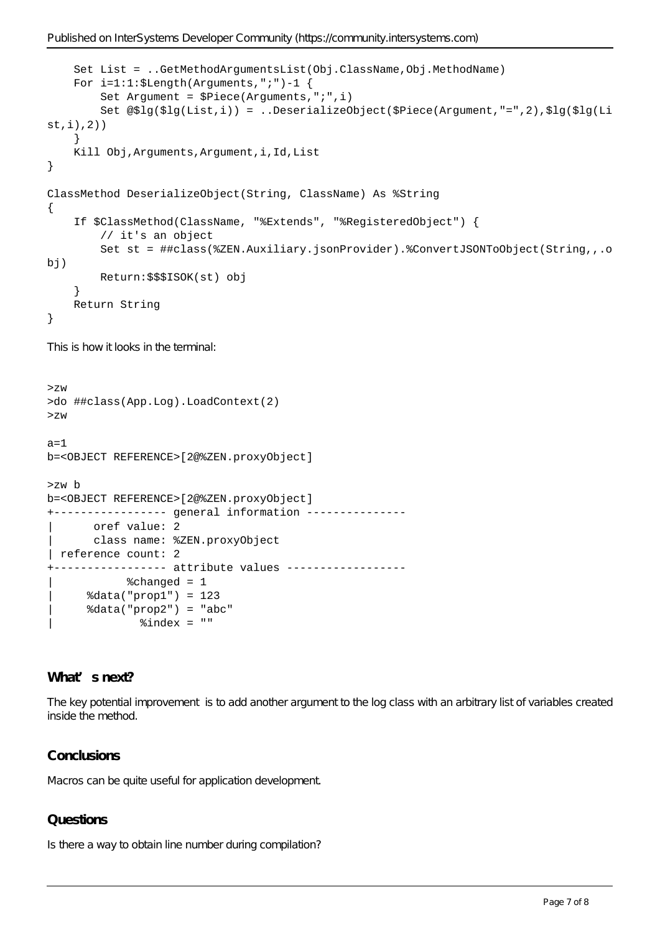```
 Set List = ..GetMethodArgumentsList(Obj.ClassName,Obj.MethodName)
     For i=1:1:$Length(Arguments,";")-1 {
         Set Argument = $Piece(Arguments,";",i)
         Set @$lg($lg(List,i)) = ..DeserializeObject($Piece(Argument,"=",2),$lg($lg(Li
st,i),2))
     }
     Kill Obj,Arguments,Argument,i,Id,List
}
ClassMethod DeserializeObject(String, ClassName) As %String
{
     If $ClassMethod(ClassName, "%Extends", "%RegisteredObject") {
         // it's an object
         Set st = ##class(%ZEN.Auxiliary.jsonProvider).%ConvertJSONToObject(String,,.o
bj)
         Return:$$$ISOK(st) obj
     }
     Return String
}
This is how it looks in the terminal:
>zw
>do ##class(App.Log).LoadContext(2)
>zw
a=1b=<OBJECT REFERENCE>[2@%ZEN.proxyObject]
>zw b
b=<OBJECT REFERENCE>[2@%ZEN.proxyObject]
+----------------- general information ---------------
      oref value: 2
       | class name: %ZEN.proxyObject
 | reference count: 2
 ---------------- attribute values ------------------
            %changed = 1
      | %data("prop1") = 123
      | %data("prop2") = "abc"
```
# **What's next?**

The key potential improvement is to add another argument to the log class with an arbitrary list of variables created inside the method.

# **Conclusions**

Macros can be quite useful for application development.

 $%index = ""$ 

# **Questions**

Is there a way to obtain line number during compilation?